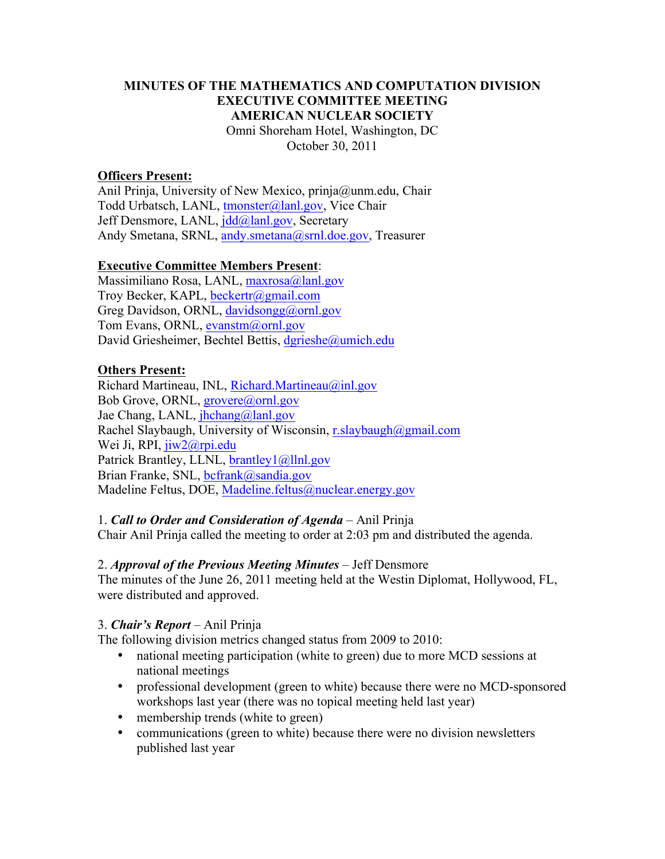#### **MINUTES OF THE MATHEMATICS AND COMPUTATION DIVISION EXECUTIVE COMMITTEE MEETING AMERICAN NUCLEAR SOCIETY** Omni Shoreham Hotel, Washington, DC October 30, 2011

#### **Officers Present:**

Anil Prinja, University of New Mexico, prinja@unm.edu, Chair Todd Urbatsch, LANL, tmonster@lanl.gov, Vice Chair Jeff Densmore, LANL, jdd@lanl.gov, Secretary Andy Smetana, SRNL, andy.smetana@srnl.doe.gov, Treasurer

#### **Executive Committee Members Present**:

Massimiliano Rosa, LANL, maxrosa@lanl.gov Troy Becker, KAPL, beckertr@gmail.com Greg Davidson, ORNL, davidsongg@ornl.gov Tom Evans, ORNL, evanstm@ornl.gov David Griesheimer, Bechtel Bettis, dgrieshe@umich.edu

#### **Others Present:**

Richard Martineau, INL, Richard.Martineau@inl.gov Bob Grove, ORNL, grovere@ornl.gov Jae Chang, LANL, jhchang@lanl.gov Rachel Slaybaugh, University of Wisconsin, r.slaybaugh@gmail.com Wei Ji, RPI, jiw2@rpi.edu Patrick Brantley, LLNL, brantley1@llnl.gov Brian Franke, SNL, bcfrank@sandia.gov Madeline Feltus, DOE, Madeline.feltus@nuclear.energy.gov

1. *Call to Order and Consideration of Agenda* – Anil Prinja

Chair Anil Prinja called the meeting to order at 2:03 pm and distributed the agenda.

#### 2. *Approval of the Previous Meeting Minutes* – Jeff Densmore

The minutes of the June 26, 2011 meeting held at the Westin Diplomat, Hollywood, FL, were distributed and approved.

#### 3. *Chair's Report* – Anil Prinja

The following division metrics changed status from 2009 to 2010:

- national meeting participation (white to green) due to more MCD sessions at national meetings
- professional development (green to white) because there were no MCD-sponsored workshops last year (there was no topical meeting held last year)
- membership trends (white to green)
- communications (green to white) because there were no division newsletters published last year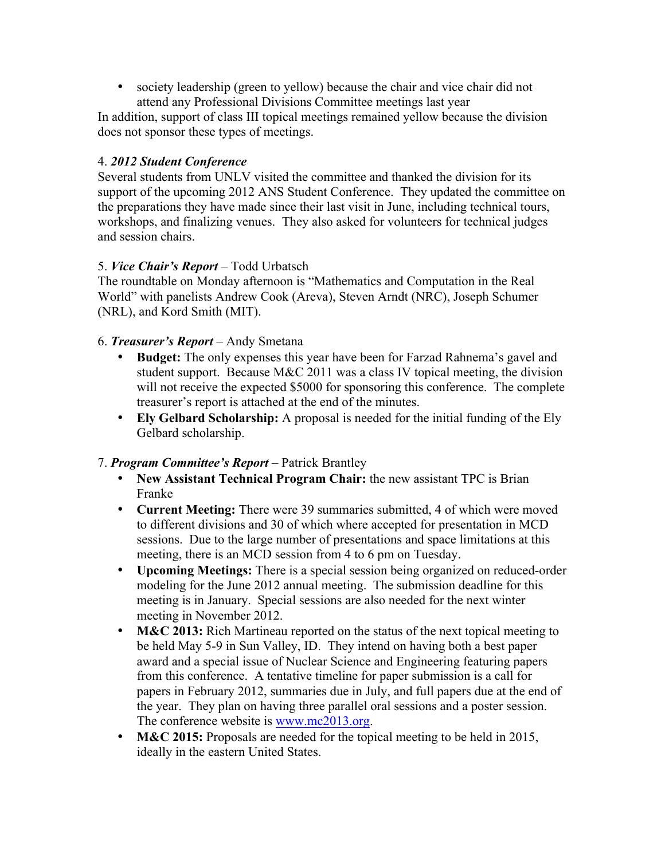society leadership (green to yellow) because the chair and vice chair did not attend any Professional Divisions Committee meetings last year

In addition, support of class III topical meetings remained yellow because the division does not sponsor these types of meetings.

### 4. *2012 Student Conference*

Several students from UNLV visited the committee and thanked the division for its support of the upcoming 2012 ANS Student Conference. They updated the committee on the preparations they have made since their last visit in June, including technical tours, workshops, and finalizing venues. They also asked for volunteers for technical judges and session chairs.

## 5. *Vice Chair's Report* – Todd Urbatsch

The roundtable on Monday afternoon is "Mathematics and Computation in the Real World" with panelists Andrew Cook (Areva), Steven Arndt (NRC), Joseph Schumer (NRL), and Kord Smith (MIT).

## 6. *Treasurer's Report* – Andy Smetana

- **Budget:** The only expenses this year have been for Farzad Rahnema's gavel and student support. Because M&C 2011 was a class IV topical meeting, the division will not receive the expected \$5000 for sponsoring this conference. The complete treasurer's report is attached at the end of the minutes.
- **Ely Gelbard Scholarship:** A proposal is needed for the initial funding of the Ely Gelbard scholarship.

### 7. *Program Committee's Report* – Patrick Brantley

- **New Assistant Technical Program Chair:** the new assistant TPC is Brian Franke
- **Current Meeting:** There were 39 summaries submitted, 4 of which were moved to different divisions and 30 of which where accepted for presentation in MCD sessions. Due to the large number of presentations and space limitations at this meeting, there is an MCD session from 4 to 6 pm on Tuesday.
- **Upcoming Meetings:** There is a special session being organized on reduced-order modeling for the June 2012 annual meeting. The submission deadline for this meeting is in January. Special sessions are also needed for the next winter meeting in November 2012.
- **M&C 2013:** Rich Martineau reported on the status of the next topical meeting to be held May 5-9 in Sun Valley, ID. They intend on having both a best paper award and a special issue of Nuclear Science and Engineering featuring papers from this conference. A tentative timeline for paper submission is a call for papers in February 2012, summaries due in July, and full papers due at the end of the year. They plan on having three parallel oral sessions and a poster session. The conference website is www.mc2013.org.
- **M&C 2015:** Proposals are needed for the topical meeting to be held in 2015, ideally in the eastern United States.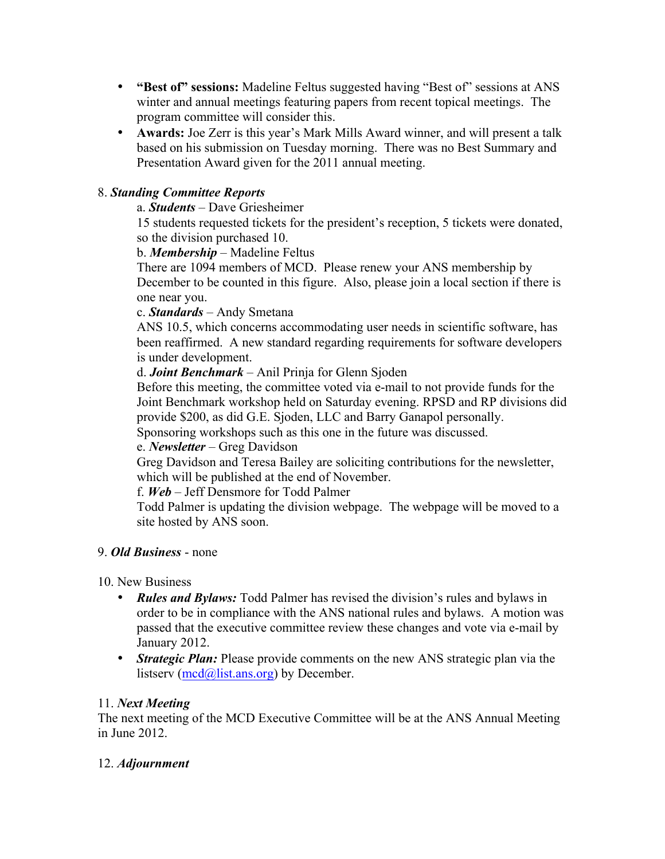- **"Best of" sessions:** Madeline Feltus suggested having "Best of" sessions at ANS winter and annual meetings featuring papers from recent topical meetings. The program committee will consider this.
- **Awards:** Joe Zerr is this year's Mark Mills Award winner, and will present a talk based on his submission on Tuesday morning. There was no Best Summary and Presentation Award given for the 2011 annual meeting.

# 8. *Standing Committee Reports*

## a. *Students* – Dave Griesheimer

15 students requested tickets for the president's reception, 5 tickets were donated, so the division purchased 10.

## b. *Membership* – Madeline Feltus

There are 1094 members of MCD. Please renew your ANS membership by December to be counted in this figure. Also, please join a local section if there is one near you.

## c. *Standards* – Andy Smetana

ANS 10.5, which concerns accommodating user needs in scientific software, has been reaffirmed. A new standard regarding requirements for software developers is under development.

## d. *Joint Benchmark* – Anil Prinja for Glenn Sjoden

Before this meeting, the committee voted via e-mail to not provide funds for the Joint Benchmark workshop held on Saturday evening. RPSD and RP divisions did provide \$200, as did G.E. Sjoden, LLC and Barry Ganapol personally.

Sponsoring workshops such as this one in the future was discussed.

# e. *Newsletter* – Greg Davidson

Greg Davidson and Teresa Bailey are soliciting contributions for the newsletter, which will be published at the end of November.

# f. *Web* – Jeff Densmore for Todd Palmer

Todd Palmer is updating the division webpage. The webpage will be moved to a site hosted by ANS soon.

# 9. *Old Business* - none

### 10. New Business

- *Rules and Bylaws:* Todd Palmer has revised the division's rules and bylaws in order to be in compliance with the ANS national rules and bylaws. A motion was passed that the executive committee review these changes and vote via e-mail by January 2012.
- *Strategic Plan:* Please provide comments on the new ANS strategic plan via the listserv (mcd@list.ans.org) by December.

### 11. *Next Meeting*

The next meeting of the MCD Executive Committee will be at the ANS Annual Meeting in June 2012.

# 12. *Adjournment*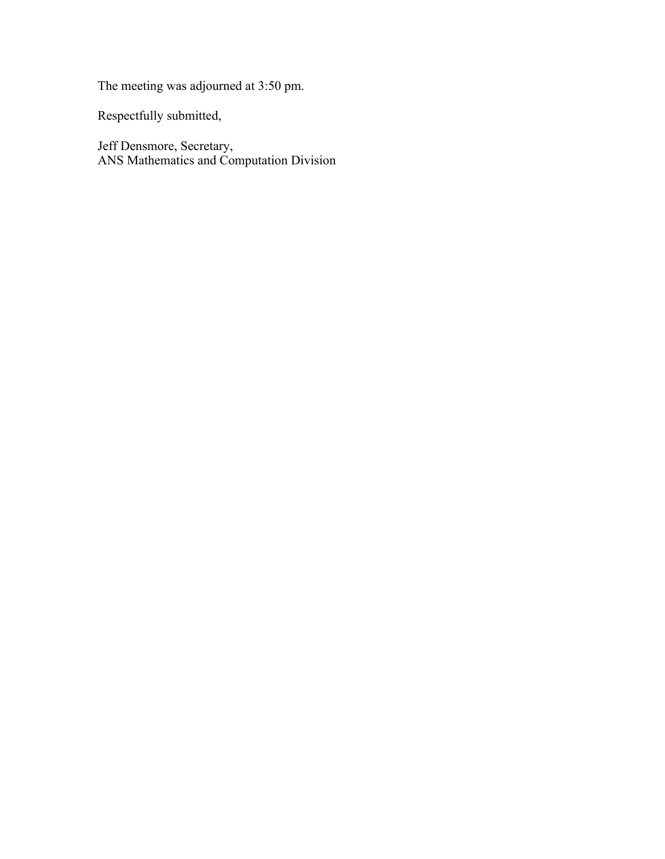The meeting was adjourned at 3:50 pm.

Respectfully submitted,

Jeff Densmore, Secretary, ANS Mathematics and Computation Division